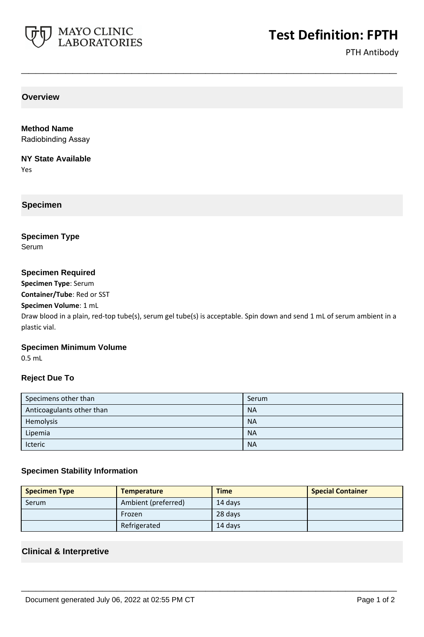

# **Test Definition: FPTH**

PTH Antibody

**Overview**

**Method Name** Radiobinding Assay

**NY State Available**

Yes

**Specimen**

**Specimen Type**

Serum

## **Specimen Required**

**Specimen Type**: Serum

**Container/Tube**: Red or SST

**Specimen Volume**: 1 mL

Draw blood in a plain, red-top tube(s), serum gel tube(s) is acceptable. Spin down and send 1 mL of serum ambient in a plastic vial.

**\_\_\_\_\_\_\_\_\_\_\_\_\_\_\_\_\_\_\_\_\_\_\_\_\_\_\_\_\_\_\_\_\_\_\_\_\_\_\_\_\_\_\_\_\_\_\_\_\_\_\_**

## **Specimen Minimum Volume**

0.5 mL

## **Reject Due To**

| Specimens other than      | Serum     |
|---------------------------|-----------|
| Anticoagulants other than | <b>NA</b> |
| Hemolysis                 | <b>NA</b> |
| Lipemia                   | <b>NA</b> |
| Icteric                   | <b>NA</b> |

## **Specimen Stability Information**

| <b>Specimen Type</b> | <b>Temperature</b>  | <b>Time</b> | <b>Special Container</b> |
|----------------------|---------------------|-------------|--------------------------|
| Serum                | Ambient (preferred) | 14 days     |                          |
|                      | Frozen              | 28 days     |                          |
|                      | Refrigerated        | 14 davs     |                          |

**\_\_\_\_\_\_\_\_\_\_\_\_\_\_\_\_\_\_\_\_\_\_\_\_\_\_\_\_\_\_\_\_\_\_\_\_\_\_\_\_\_\_\_\_\_\_\_\_\_\_\_**

## **Clinical & Interpretive**